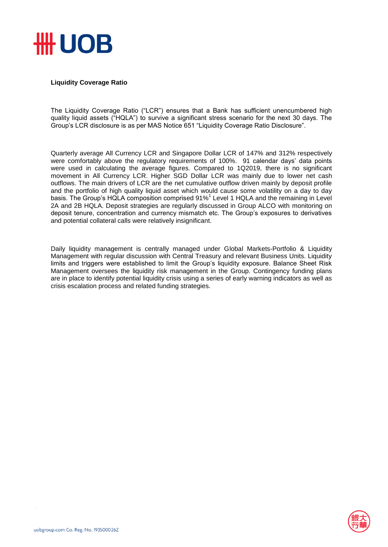

## **Liquidity Coverage Ratio**

The Liquidity Coverage Ratio ("LCR") ensures that a Bank has sufficient unencumbered high quality liquid assets ("HQLA") to survive a significant stress scenario for the next 30 days. The Group's LCR disclosure is as per MAS Notice 651 "Liquidity Coverage Ratio Disclosure".

Quarterly average All Currency LCR and Singapore Dollar LCR of 147% and 312% respectively were comfortably above the regulatory requirements of 100%. 91 calendar days' data points were used in calculating the average figures. Compared to 1Q2019, there is no significant movement in All Currency LCR. Higher SGD Dollar LCR was mainly due to lower net cash outflows. The main drivers of LCR are the net cumulative outflow driven mainly by deposit profile and the portfolio of high quality liquid asset which would cause some volatility on a day to day basis. The Group's HQLA composition comprised 91%<sup>1</sup> Level 1 HQLA and the remaining in Level 2A and 2B HQLA. Deposit strategies are regularly discussed in Group ALCO with monitoring on deposit tenure, concentration and currency mismatch etc. The Group's exposures to derivatives and potential collateral calls were relatively insignificant.

Daily liquidity management is centrally managed under Global Markets-Portfolio & Liquidity Management with regular discussion with Central Treasury and relevant Business Units. Liquidity limits and triggers were established to limit the Group's liquidity exposure. Balance Sheet Risk Management oversees the liquidity risk management in the Group. Contingency funding plans are in place to identify potential liquidity crisis using a series of early warning indicators as well as crisis escalation process and related funding strategies.

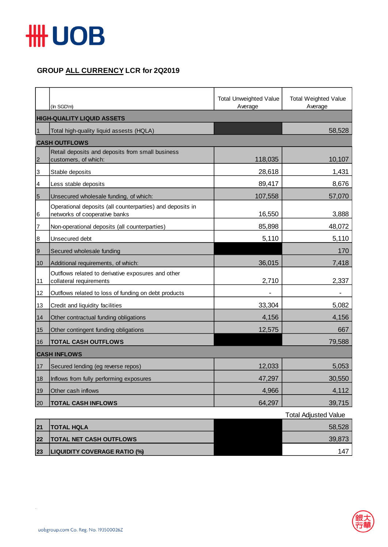

## **GROUP ALL CURRENCY LCR for 2Q2019**

|                 | (In SGD'm)                                                                                 | <b>Total Unweighted Value</b><br>Average | <b>Total Weighted Value</b><br>Average |  |  |
|-----------------|--------------------------------------------------------------------------------------------|------------------------------------------|----------------------------------------|--|--|
|                 | <b>HIGH-QUALITY LIQUID ASSETS</b>                                                          |                                          |                                        |  |  |
| $\mathbf{1}$    | Total high-quality liquid assests (HQLA)                                                   |                                          | 58,528                                 |  |  |
|                 | <b>CASH OUTFLOWS</b>                                                                       |                                          |                                        |  |  |
| $\overline{2}$  | Retail deposits and deposits from small business<br>customers, of which:                   | 118,035                                  | 10,107                                 |  |  |
| 3               | Stable deposits                                                                            | 28,618                                   | 1,431                                  |  |  |
| 4               | Less stable deposits                                                                       | 89,417                                   | 8,676                                  |  |  |
| $5\overline{5}$ | Unsecured wholesale funding, of which:                                                     | 107,558                                  | 57,070                                 |  |  |
| 6               | Operational deposits (all counterparties) and deposits in<br>networks of cooperative banks | 16,550                                   | 3,888                                  |  |  |
| 7               | Non-operational deposits (all counterparties)                                              | 85,898                                   | 48,072                                 |  |  |
| 8               | Unsecured debt                                                                             | 5,110                                    | 5,110                                  |  |  |
| $\overline{9}$  | Secured wholesale funding                                                                  |                                          | 170                                    |  |  |
| 10              | Additional requirements, of which:                                                         | 36,015                                   | 7,418                                  |  |  |
| 11              | Outflows related to derivative exposures and other<br>collateral requirements              | 2,710                                    | 2,337                                  |  |  |
| 12              | Outflows related to loss of funding on debt products                                       |                                          |                                        |  |  |
| 13              | Credit and liquidity facilities                                                            | 33,304                                   | 5,082                                  |  |  |
| 14              | Other contractual funding obligations                                                      | 4,156                                    | 4,156                                  |  |  |
| 15              | Other contingent funding obligations                                                       | 12,575                                   | 667                                    |  |  |
| 16              | <b>TOTAL CASH OUTFLOWS</b>                                                                 |                                          | 79,588                                 |  |  |
|                 | <b>CASH INFLOWS</b>                                                                        |                                          |                                        |  |  |
| 17              | Secured lending (eg reverse repos)                                                         | 12,033                                   | 5,053                                  |  |  |
| 18              | Inflows from fully performing exposures                                                    | 47,297                                   | 30,550                                 |  |  |
| 19              | Other cash inflows                                                                         | 4,966                                    | 4,112                                  |  |  |
| 20              | <b>TOTAL CASH INFLOWS</b>                                                                  | 64,297                                   | 39,715                                 |  |  |

|    |                                     | <b>Total Adjusted Value</b> |
|----|-------------------------------------|-----------------------------|
| 21 | <b>ITOTAL HQLA</b>                  | 58,528                      |
| 22 | <b>TOTAL NET CASH OUTFLOWS</b>      | 39,873                      |
| 23 | <b>LIQUIDITY COVERAGE RATIO (%)</b> | 147                         |